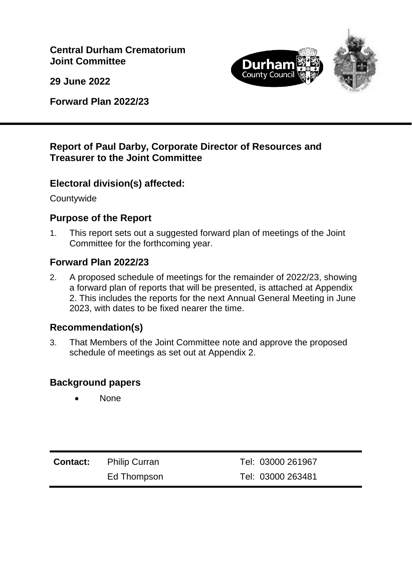**Central Durham Crematorium Joint Committee**

**29 June 2022**

**Forward Plan 2022/23**



# **Report of Paul Darby, Corporate Director of Resources and Treasurer to the Joint Committee**

# **Electoral division(s) affected:**

**Countywide** 

# **Purpose of the Report**

1. This report sets out a suggested forward plan of meetings of the Joint Committee for the forthcoming year.

# **Forward Plan 2022/23**

2. A proposed schedule of meetings for the remainder of 2022/23, showing a forward plan of reports that will be presented, is attached at Appendix 2. This includes the reports for the next Annual General Meeting in June 2023, with dates to be fixed nearer the time.

### **Recommendation(s)**

3. That Members of the Joint Committee note and approve the proposed schedule of meetings as set out at Appendix 2.

### **Background papers**

None

| <b>Contact:</b> Philip Curran | Tel: 03000 261967 |
|-------------------------------|-------------------|
| Ed Thompson                   | Tel: 03000 263481 |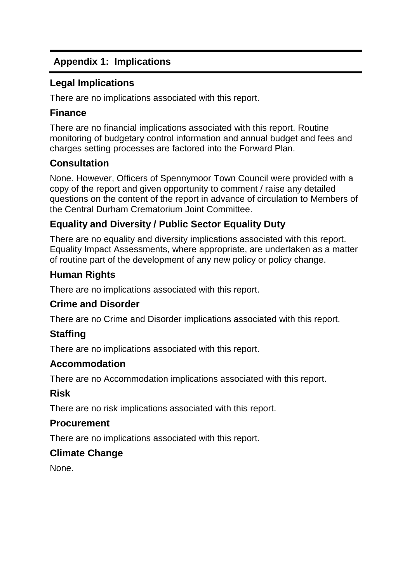# **Appendix 1: Implications**

### **Legal Implications**

There are no implications associated with this report.

# **Finance**

There are no financial implications associated with this report. Routine monitoring of budgetary control information and annual budget and fees and charges setting processes are factored into the Forward Plan.

# **Consultation**

None. However, Officers of Spennymoor Town Council were provided with a copy of the report and given opportunity to comment / raise any detailed questions on the content of the report in advance of circulation to Members of the Central Durham Crematorium Joint Committee.

# **Equality and Diversity / Public Sector Equality Duty**

There are no equality and diversity implications associated with this report. Equality Impact Assessments, where appropriate, are undertaken as a matter of routine part of the development of any new policy or policy change.

# **Human Rights**

There are no implications associated with this report.

### **Crime and Disorder**

There are no Crime and Disorder implications associated with this report.

# **Staffing**

There are no implications associated with this report.

### **Accommodation**

There are no Accommodation implications associated with this report.

# **Risk**

There are no risk implications associated with this report.

### **Procurement**

There are no implications associated with this report.

# **Climate Change**

None.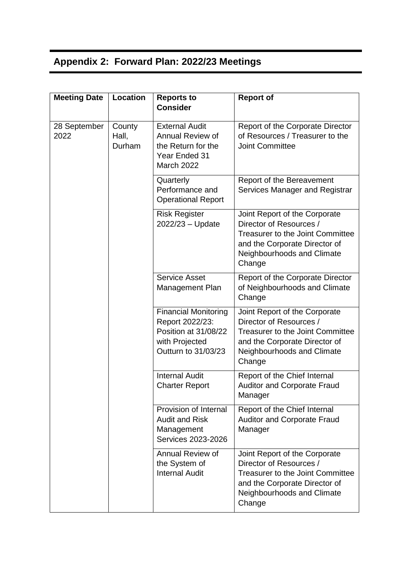# **Appendix 2: Forward Plan: 2022/23 Meetings**

| <b>Meeting Date</b>  | Location                  | <b>Reports to</b><br><b>Consider</b>                                                                            | <b>Report of</b>                                                                                                                                                             |
|----------------------|---------------------------|-----------------------------------------------------------------------------------------------------------------|------------------------------------------------------------------------------------------------------------------------------------------------------------------------------|
| 28 September<br>2022 | County<br>Hall,<br>Durham | <b>External Audit</b><br>Annual Review of<br>the Return for the<br>Year Ended 31<br><b>March 2022</b>           | Report of the Corporate Director<br>of Resources / Treasurer to the<br><b>Joint Committee</b>                                                                                |
|                      |                           | Quarterly<br>Performance and<br><b>Operational Report</b>                                                       | Report of the Bereavement<br>Services Manager and Registrar                                                                                                                  |
|                      |                           | <b>Risk Register</b><br>2022/23 - Update                                                                        | Joint Report of the Corporate<br>Director of Resources /<br><b>Treasurer to the Joint Committee</b><br>and the Corporate Director of<br>Neighbourhoods and Climate<br>Change |
|                      |                           | <b>Service Asset</b><br>Management Plan                                                                         | Report of the Corporate Director<br>of Neighbourhoods and Climate<br>Change                                                                                                  |
|                      |                           | <b>Financial Monitoring</b><br>Report 2022/23:<br>Position at 31/08/22<br>with Projected<br>Outturn to 31/03/23 | Joint Report of the Corporate<br>Director of Resources /<br><b>Treasurer to the Joint Committee</b><br>and the Corporate Director of<br>Neighbourhoods and Climate<br>Change |
|                      |                           | <b>Internal Audit</b><br><b>Charter Report</b>                                                                  | Report of the Chief Internal<br><b>Auditor and Corporate Fraud</b><br>Manager                                                                                                |
|                      |                           | Provision of Internal<br><b>Audit and Risk</b><br>Management<br>Services 2023-2026                              | Report of the Chief Internal<br><b>Auditor and Corporate Fraud</b><br>Manager                                                                                                |
|                      |                           | Annual Review of<br>the System of<br><b>Internal Audit</b>                                                      | Joint Report of the Corporate<br>Director of Resources /<br>Treasurer to the Joint Committee<br>and the Corporate Director of<br>Neighbourhoods and Climate<br>Change        |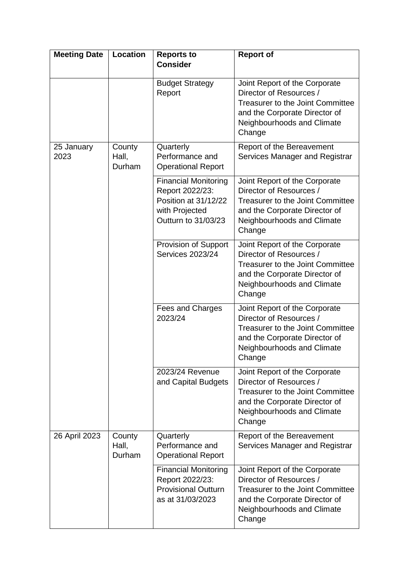| <b>Meeting Date</b> | <b>Location</b>           | <b>Reports to</b><br><b>Consider</b>                                                                            | <b>Report of</b>                                                                                                                                                             |
|---------------------|---------------------------|-----------------------------------------------------------------------------------------------------------------|------------------------------------------------------------------------------------------------------------------------------------------------------------------------------|
|                     |                           | <b>Budget Strategy</b><br>Report                                                                                | Joint Report of the Corporate<br>Director of Resources /<br><b>Treasurer to the Joint Committee</b><br>and the Corporate Director of<br>Neighbourhoods and Climate<br>Change |
| 25 January<br>2023  | County<br>Hall,<br>Durham | Quarterly<br>Performance and<br><b>Operational Report</b>                                                       | Report of the Bereavement<br>Services Manager and Registrar                                                                                                                  |
|                     |                           | <b>Financial Monitoring</b><br>Report 2022/23:<br>Position at 31/12/22<br>with Projected<br>Outturn to 31/03/23 | Joint Report of the Corporate<br>Director of Resources /<br><b>Treasurer to the Joint Committee</b><br>and the Corporate Director of<br>Neighbourhoods and Climate<br>Change |
|                     |                           | Provision of Support<br><b>Services 2023/24</b>                                                                 | Joint Report of the Corporate<br>Director of Resources /<br><b>Treasurer to the Joint Committee</b><br>and the Corporate Director of<br>Neighbourhoods and Climate<br>Change |
|                     |                           | Fees and Charges<br>2023/24                                                                                     | Joint Report of the Corporate<br>Director of Resources /<br><b>Treasurer to the Joint Committee</b><br>and the Corporate Director of<br>Neighbourhoods and Climate<br>Change |
|                     |                           | 2023/24 Revenue<br>and Capital Budgets                                                                          | Joint Report of the Corporate<br>Director of Resources /<br>Treasurer to the Joint Committee<br>and the Corporate Director of<br>Neighbourhoods and Climate<br>Change        |
| 26 April 2023       | County<br>Hall,<br>Durham | Quarterly<br>Performance and<br><b>Operational Report</b>                                                       | Report of the Bereavement<br>Services Manager and Registrar                                                                                                                  |
|                     |                           | <b>Financial Monitoring</b><br>Report 2022/23:<br><b>Provisional Outturn</b><br>as at 31/03/2023                | Joint Report of the Corporate<br>Director of Resources /<br><b>Treasurer to the Joint Committee</b><br>and the Corporate Director of<br>Neighbourhoods and Climate<br>Change |